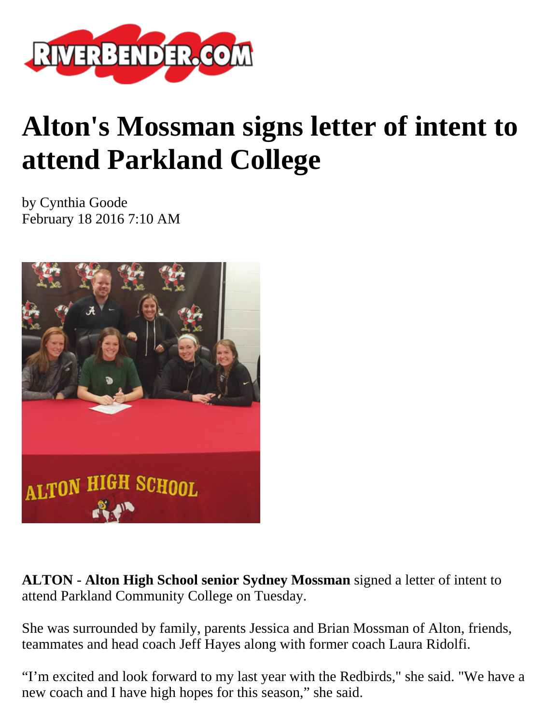

## **Alton's Mossman signs letter of intent to attend Parkland College**

by Cynthia Goode February 18 2016 7:10 AM



**ALTON** - **Alton High School senior Sydney Mossman** signed a letter of intent to attend Parkland Community College on Tuesday.

She was surrounded by family, parents Jessica and Brian Mossman of Alton, friends, teammates and head coach Jeff Hayes along with former coach Laura Ridolfi.

"I'm excited and look forward to my last year with the Redbirds," she said. "We have a new coach and I have high hopes for this season," she said.